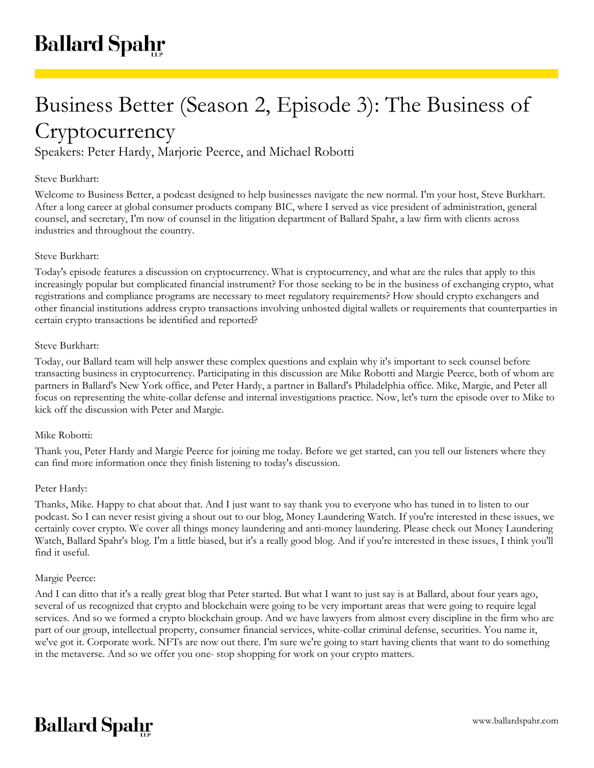# Business Better (Season 2, Episode 3): The Business of **Cryptocurrency**

Speakers: Peter Hardy, Marjorie Peerce, and Michael Robotti

# Steve Burkhart:

Welcome to Business Better, a podcast designed to help businesses navigate the new normal. I'm your host, Steve Burkhart. After a long career at global consumer products company BIC, where I served as vice president of administration, general counsel, and secretary, I'm now of counsel in the litigation department of Ballard Spahr, a law firm with clients across industries and throughout the country.

# Steve Burkhart:

Today's episode features a discussion on cryptocurrency. What is cryptocurrency, and what are the rules that apply to this increasingly popular but complicated financial instrument? For those seeking to be in the business of exchanging crypto, what registrations and compliance programs are necessary to meet regulatory requirements? How should crypto exchangers and other financial institutions address crypto transactions involving unhosted digital wallets or requirements that counterparties in certain crypto transactions be identified and reported?

# Steve Burkhart:

Today, our Ballard team will help answer these complex questions and explain why it's important to seek counsel before transacting business in cryptocurrency. Participating in this discussion are Mike Robotti and Margie Peerce, both of whom are partners in Ballard's New York office, and Peter Hardy, a partner in Ballard's Philadelphia office. Mike, Margie, and Peter all focus on representing the white-collar defense and internal investigations practice. Now, let's turn the episode over to Mike to kick off the discussion with Peter and Margie.

# Mike Robotti:

Thank you, Peter Hardy and Margie Peerce for joining me today. Before we get started, can you tell our listeners where they can find more information once they finish listening to today's discussion.

# Peter Hardy:

Thanks, Mike. Happy to chat about that. And I just want to say thank you to everyone who has tuned in to listen to our podcast. So I can never resist giving a shout out to our blog, Money Laundering Watch. If you're interested in these issues, we certainly cover crypto. We cover all things money laundering and anti-money laundering. Please check out Money Laundering Watch, Ballard Spahr's blog. I'm a little biased, but it's a really good blog. And if you're interested in these issues, I think you'll find it useful.

#### Margie Peerce:

And I can ditto that it's a really great blog that Peter started. But what I want to just say is at Ballard, about four years ago, several of us recognized that crypto and blockchain were going to be very important areas that were going to require legal services. And so we formed a crypto blockchain group. And we have lawyers from almost every discipline in the firm who are part of our group, intellectual property, consumer financial services, white-collar criminal defense, securities. You name it, we've got it. Corporate work. NFTs are now out there. I'm sure we're going to start having clients that want to do something in the metaverse. And so we offer you one- stop shopping for work on your crypto matters.

# **Ballard Spahr**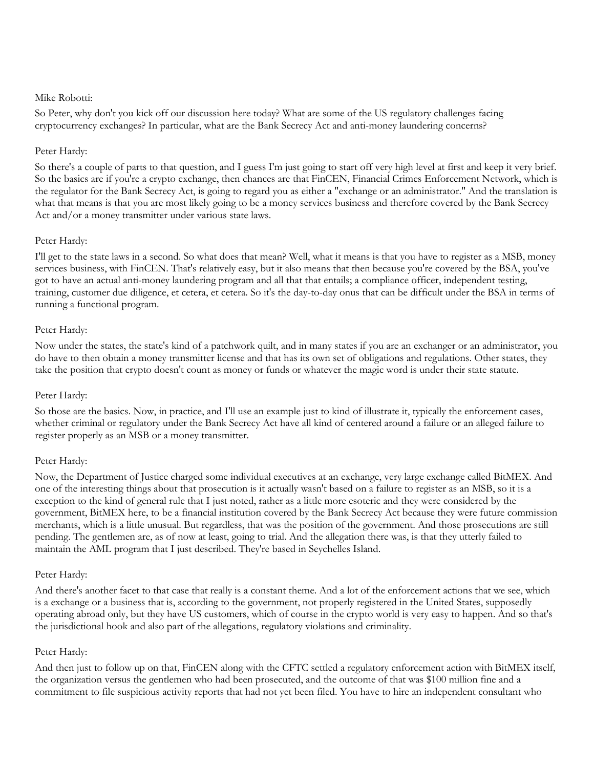#### Mike Robotti:

So Peter, why don't you kick off our discussion here today? What are some of the US regulatory challenges facing cryptocurrency exchanges? In particular, what are the Bank Secrecy Act and anti-money laundering concerns?

# Peter Hardy:

So there's a couple of parts to that question, and I guess I'm just going to start off very high level at first and keep it very brief. So the basics are if you're a crypto exchange, then chances are that FinCEN, Financial Crimes Enforcement Network, which is the regulator for the Bank Secrecy Act, is going to regard you as either a "exchange or an administrator." And the translation is what that means is that you are most likely going to be a money services business and therefore covered by the Bank Secrecy Act and/or a money transmitter under various state laws.

# Peter Hardy:

I'll get to the state laws in a second. So what does that mean? Well, what it means is that you have to register as a MSB, money services business, with FinCEN. That's relatively easy, but it also means that then because you're covered by the BSA, you've got to have an actual anti-money laundering program and all that that entails; a compliance officer, independent testing, training, customer due diligence, et cetera, et cetera. So it's the day-to-day onus that can be difficult under the BSA in terms of running a functional program.

# Peter Hardy:

Now under the states, the state's kind of a patchwork quilt, and in many states if you are an exchanger or an administrator, you do have to then obtain a money transmitter license and that has its own set of obligations and regulations. Other states, they take the position that crypto doesn't count as money or funds or whatever the magic word is under their state statute.

#### Peter Hardy:

So those are the basics. Now, in practice, and I'll use an example just to kind of illustrate it, typically the enforcement cases, whether criminal or regulatory under the Bank Secrecy Act have all kind of centered around a failure or an alleged failure to register properly as an MSB or a money transmitter.

# Peter Hardy:

Now, the Department of Justice charged some individual executives at an exchange, very large exchange called BitMEX. And one of the interesting things about that prosecution is it actually wasn't based on a failure to register as an MSB, so it is a exception to the kind of general rule that I just noted, rather as a little more esoteric and they were considered by the government, BitMEX here, to be a financial institution covered by the Bank Secrecy Act because they were future commission merchants, which is a little unusual. But regardless, that was the position of the government. And those prosecutions are still pending. The gentlemen are, as of now at least, going to trial. And the allegation there was, is that they utterly failed to maintain the AML program that I just described. They're based in Seychelles Island.

#### Peter Hardy:

And there's another facet to that case that really is a constant theme. And a lot of the enforcement actions that we see, which is a exchange or a business that is, according to the government, not properly registered in the United States, supposedly operating abroad only, but they have US customers, which of course in the crypto world is very easy to happen. And so that's the jurisdictional hook and also part of the allegations, regulatory violations and criminality.

#### Peter Hardy:

And then just to follow up on that, FinCEN along with the CFTC settled a regulatory enforcement action with BitMEX itself, the organization versus the gentlemen who had been prosecuted, and the outcome of that was \$100 million fine and a commitment to file suspicious activity reports that had not yet been filed. You have to hire an independent consultant who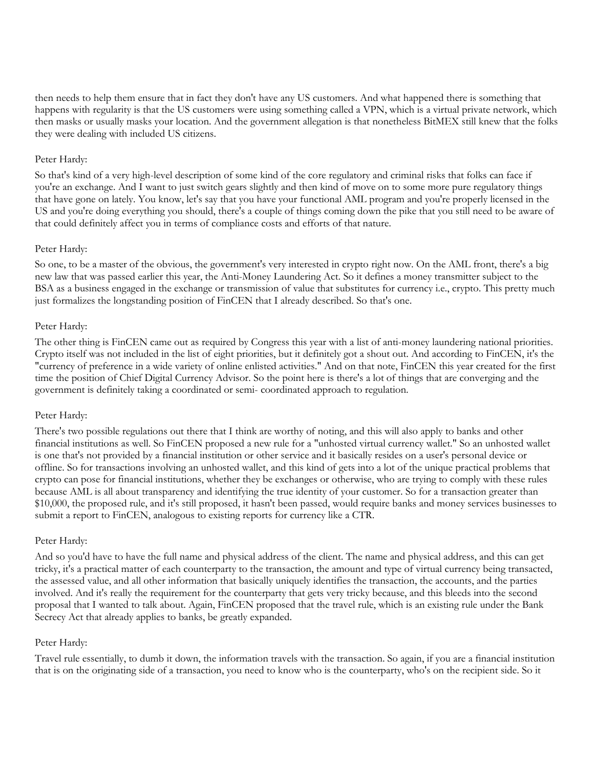then needs to help them ensure that in fact they don't have any US customers. And what happened there is something that happens with regularity is that the US customers were using something called a VPN, which is a virtual private network, which then masks or usually masks your location. And the government allegation is that nonetheless BitMEX still knew that the folks they were dealing with included US citizens.

# Peter Hardy:

So that's kind of a very high-level description of some kind of the core regulatory and criminal risks that folks can face if you're an exchange. And I want to just switch gears slightly and then kind of move on to some more pure regulatory things that have gone on lately. You know, let's say that you have your functional AML program and you're properly licensed in the US and you're doing everything you should, there's a couple of things coming down the pike that you still need to be aware of that could definitely affect you in terms of compliance costs and efforts of that nature.

# Peter Hardy:

So one, to be a master of the obvious, the government's very interested in crypto right now. On the AML front, there's a big new law that was passed earlier this year, the Anti-Money Laundering Act. So it defines a money transmitter subject to the BSA as a business engaged in the exchange or transmission of value that substitutes for currency i.e., crypto. This pretty much just formalizes the longstanding position of FinCEN that I already described. So that's one.

# Peter Hardy:

The other thing is FinCEN came out as required by Congress this year with a list of anti-money laundering national priorities. Crypto itself was not included in the list of eight priorities, but it definitely got a shout out. And according to FinCEN, it's the "currency of preference in a wide variety of online enlisted activities." And on that note, FinCEN this year created for the first time the position of Chief Digital Currency Advisor. So the point here is there's a lot of things that are converging and the government is definitely taking a coordinated or semi- coordinated approach to regulation.

#### Peter Hardy:

There's two possible regulations out there that I think are worthy of noting, and this will also apply to banks and other financial institutions as well. So FinCEN proposed a new rule for a "unhosted virtual currency wallet." So an unhosted wallet is one that's not provided by a financial institution or other service and it basically resides on a user's personal device or offline. So for transactions involving an unhosted wallet, and this kind of gets into a lot of the unique practical problems that crypto can pose for financial institutions, whether they be exchanges or otherwise, who are trying to comply with these rules because AML is all about transparency and identifying the true identity of your customer. So for a transaction greater than \$10,000, the proposed rule, and it's still proposed, it hasn't been passed, would require banks and money services businesses to submit a report to FinCEN, analogous to existing reports for currency like a CTR.

#### Peter Hardy:

And so you'd have to have the full name and physical address of the client. The name and physical address, and this can get tricky, it's a practical matter of each counterparty to the transaction, the amount and type of virtual currency being transacted, the assessed value, and all other information that basically uniquely identifies the transaction, the accounts, and the parties involved. And it's really the requirement for the counterparty that gets very tricky because, and this bleeds into the second proposal that I wanted to talk about. Again, FinCEN proposed that the travel rule, which is an existing rule under the Bank Secrecy Act that already applies to banks, be greatly expanded.

# Peter Hardy:

Travel rule essentially, to dumb it down, the information travels with the transaction. So again, if you are a financial institution that is on the originating side of a transaction, you need to know who is the counterparty, who's on the recipient side. So it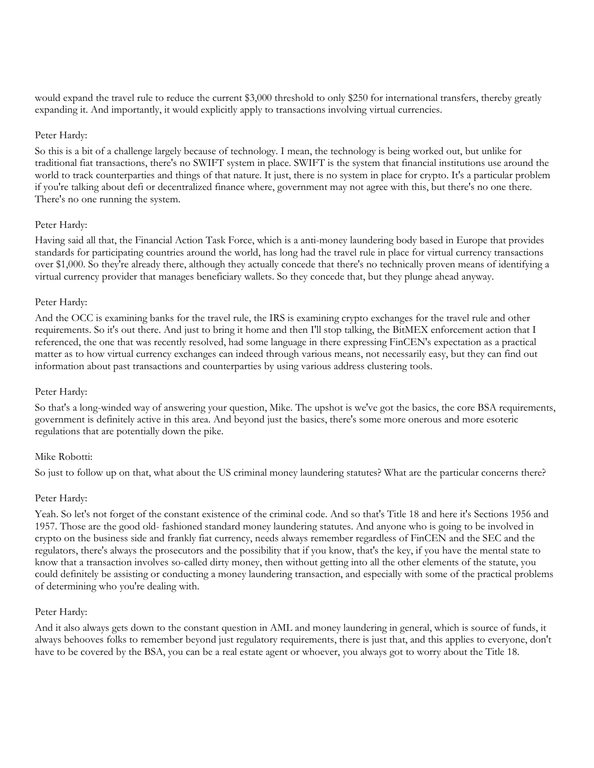would expand the travel rule to reduce the current \$3,000 threshold to only \$250 for international transfers, thereby greatly expanding it. And importantly, it would explicitly apply to transactions involving virtual currencies.

# Peter Hardy:

So this is a bit of a challenge largely because of technology. I mean, the technology is being worked out, but unlike for traditional fiat transactions, there's no SWIFT system in place. SWIFT is the system that financial institutions use around the world to track counterparties and things of that nature. It just, there is no system in place for crypto. It's a particular problem if you're talking about defi or decentralized finance where, government may not agree with this, but there's no one there. There's no one running the system.

# Peter Hardy:

Having said all that, the Financial Action Task Force, which is a anti-money laundering body based in Europe that provides standards for participating countries around the world, has long had the travel rule in place for virtual currency transactions over \$1,000. So they're already there, although they actually concede that there's no technically proven means of identifying a virtual currency provider that manages beneficiary wallets. So they concede that, but they plunge ahead anyway.

# Peter Hardy:

And the OCC is examining banks for the travel rule, the IRS is examining crypto exchanges for the travel rule and other requirements. So it's out there. And just to bring it home and then I'll stop talking, the BitMEX enforcement action that I referenced, the one that was recently resolved, had some language in there expressing FinCEN's expectation as a practical matter as to how virtual currency exchanges can indeed through various means, not necessarily easy, but they can find out information about past transactions and counterparties by using various address clustering tools.

#### Peter Hardy:

So that's a long-winded way of answering your question, Mike. The upshot is we've got the basics, the core BSA requirements, government is definitely active in this area. And beyond just the basics, there's some more onerous and more esoteric regulations that are potentially down the pike.

#### Mike Robotti:

So just to follow up on that, what about the US criminal money laundering statutes? What are the particular concerns there?

#### Peter Hardy:

Yeah. So let's not forget of the constant existence of the criminal code. And so that's Title 18 and here it's Sections 1956 and 1957. Those are the good old- fashioned standard money laundering statutes. And anyone who is going to be involved in crypto on the business side and frankly fiat currency, needs always remember regardless of FinCEN and the SEC and the regulators, there's always the prosecutors and the possibility that if you know, that's the key, if you have the mental state to know that a transaction involves so-called dirty money, then without getting into all the other elements of the statute, you could definitely be assisting or conducting a money laundering transaction, and especially with some of the practical problems of determining who you're dealing with.

#### Peter Hardy:

And it also always gets down to the constant question in AML and money laundering in general, which is source of funds, it always behooves folks to remember beyond just regulatory requirements, there is just that, and this applies to everyone, don't have to be covered by the BSA, you can be a real estate agent or whoever, you always got to worry about the Title 18.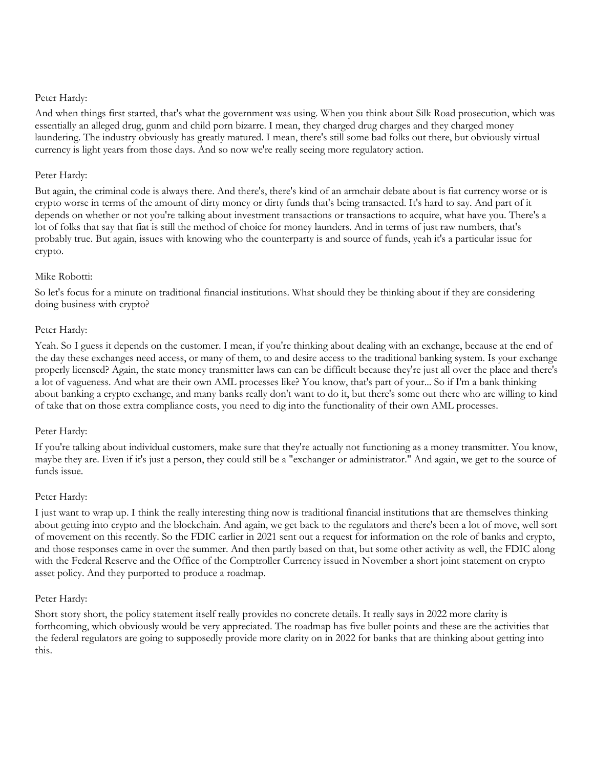# Peter Hardy:

And when things first started, that's what the government was using. When you think about Silk Road prosecution, which was essentially an alleged drug, gunm and child porn bizarre. I mean, they charged drug charges and they charged money laundering. The industry obviously has greatly matured. I mean, there's still some bad folks out there, but obviously virtual currency is light years from those days. And so now we're really seeing more regulatory action.

# Peter Hardy:

But again, the criminal code is always there. And there's, there's kind of an armchair debate about is fiat currency worse or is crypto worse in terms of the amount of dirty money or dirty funds that's being transacted. It's hard to say. And part of it depends on whether or not you're talking about investment transactions or transactions to acquire, what have you. There's a lot of folks that say that fiat is still the method of choice for money launders. And in terms of just raw numbers, that's probably true. But again, issues with knowing who the counterparty is and source of funds, yeah it's a particular issue for crypto.

# Mike Robotti:

So let's focus for a minute on traditional financial institutions. What should they be thinking about if they are considering doing business with crypto?

# Peter Hardy:

Yeah. So I guess it depends on the customer. I mean, if you're thinking about dealing with an exchange, because at the end of the day these exchanges need access, or many of them, to and desire access to the traditional banking system. Is your exchange properly licensed? Again, the state money transmitter laws can can be difficult because they're just all over the place and there's a lot of vagueness. And what are their own AML processes like? You know, that's part of your... So if I'm a bank thinking about banking a crypto exchange, and many banks really don't want to do it, but there's some out there who are willing to kind of take that on those extra compliance costs, you need to dig into the functionality of their own AML processes.

#### Peter Hardy:

If you're talking about individual customers, make sure that they're actually not functioning as a money transmitter. You know, maybe they are. Even if it's just a person, they could still be a "exchanger or administrator." And again, we get to the source of funds issue.

#### Peter Hardy:

I just want to wrap up. I think the really interesting thing now is traditional financial institutions that are themselves thinking about getting into crypto and the blockchain. And again, we get back to the regulators and there's been a lot of move, well sort of movement on this recently. So the FDIC earlier in 2021 sent out a request for information on the role of banks and crypto, and those responses came in over the summer. And then partly based on that, but some other activity as well, the FDIC along with the Federal Reserve and the Office of the Comptroller Currency issued in November a short joint statement on crypto asset policy. And they purported to produce a roadmap.

#### Peter Hardy:

Short story short, the policy statement itself really provides no concrete details. It really says in 2022 more clarity is forthcoming, which obviously would be very appreciated. The roadmap has five bullet points and these are the activities that the federal regulators are going to supposedly provide more clarity on in 2022 for banks that are thinking about getting into this.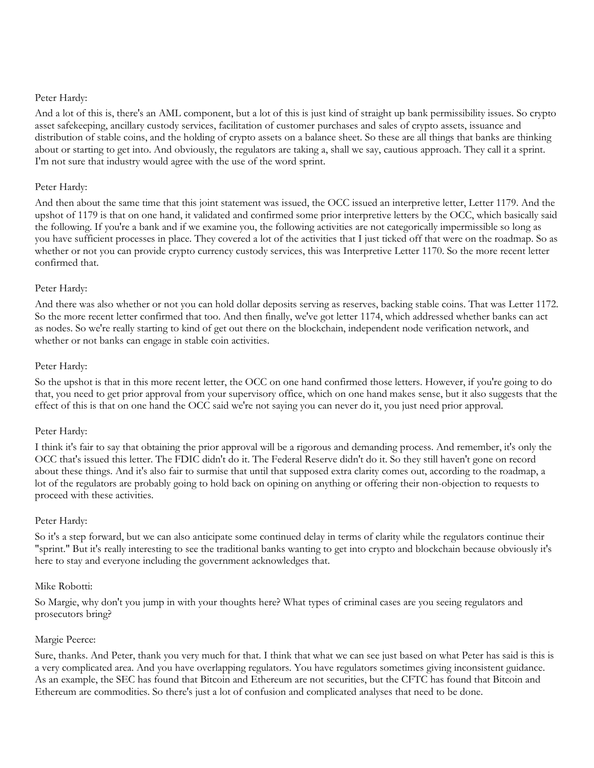# Peter Hardy:

And a lot of this is, there's an AML component, but a lot of this is just kind of straight up bank permissibility issues. So crypto asset safekeeping, ancillary custody services, facilitation of customer purchases and sales of crypto assets, issuance and distribution of stable coins, and the holding of crypto assets on a balance sheet. So these are all things that banks are thinking about or starting to get into. And obviously, the regulators are taking a, shall we say, cautious approach. They call it a sprint. I'm not sure that industry would agree with the use of the word sprint.

# Peter Hardy:

And then about the same time that this joint statement was issued, the OCC issued an interpretive letter, Letter 1179. And the upshot of 1179 is that on one hand, it validated and confirmed some prior interpretive letters by the OCC, which basically said the following. If you're a bank and if we examine you, the following activities are not categorically impermissible so long as you have sufficient processes in place. They covered a lot of the activities that I just ticked off that were on the roadmap. So as whether or not you can provide crypto currency custody services, this was Interpretive Letter 1170. So the more recent letter confirmed that.

# Peter Hardy:

And there was also whether or not you can hold dollar deposits serving as reserves, backing stable coins. That was Letter 1172. So the more recent letter confirmed that too. And then finally, we've got letter 1174, which addressed whether banks can act as nodes. So we're really starting to kind of get out there on the blockchain, independent node verification network, and whether or not banks can engage in stable coin activities.

# Peter Hardy:

So the upshot is that in this more recent letter, the OCC on one hand confirmed those letters. However, if you're going to do that, you need to get prior approval from your supervisory office, which on one hand makes sense, but it also suggests that the effect of this is that on one hand the OCC said we're not saying you can never do it, you just need prior approval.

#### Peter Hardy:

I think it's fair to say that obtaining the prior approval will be a rigorous and demanding process. And remember, it's only the OCC that's issued this letter. The FDIC didn't do it. The Federal Reserve didn't do it. So they still haven't gone on record about these things. And it's also fair to surmise that until that supposed extra clarity comes out, according to the roadmap, a lot of the regulators are probably going to hold back on opining on anything or offering their non-objection to requests to proceed with these activities.

#### Peter Hardy:

So it's a step forward, but we can also anticipate some continued delay in terms of clarity while the regulators continue their "sprint." But it's really interesting to see the traditional banks wanting to get into crypto and blockchain because obviously it's here to stay and everyone including the government acknowledges that.

#### Mike Robotti:

So Margie, why don't you jump in with your thoughts here? What types of criminal cases are you seeing regulators and prosecutors bring?

#### Margie Peerce:

Sure, thanks. And Peter, thank you very much for that. I think that what we can see just based on what Peter has said is this is a very complicated area. And you have overlapping regulators. You have regulators sometimes giving inconsistent guidance. As an example, the SEC has found that Bitcoin and Ethereum are not securities, but the CFTC has found that Bitcoin and Ethereum are commodities. So there's just a lot of confusion and complicated analyses that need to be done.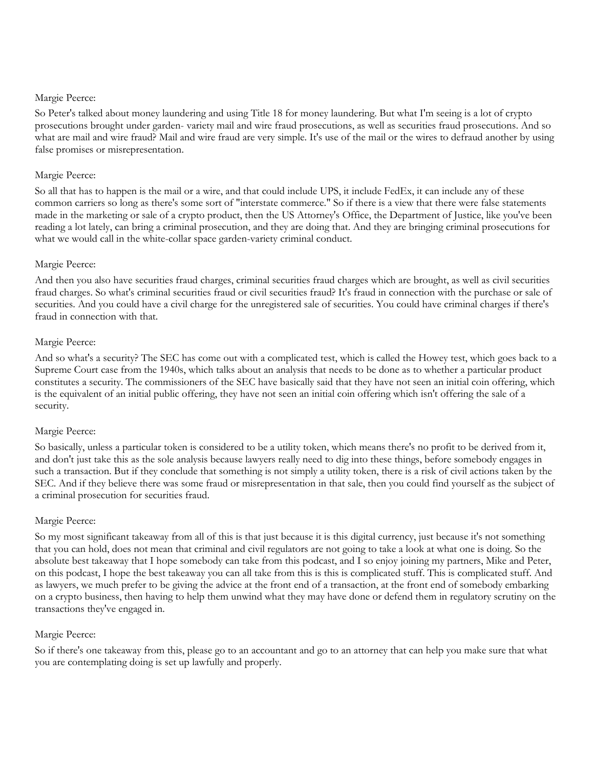#### Margie Peerce:

So Peter's talked about money laundering and using Title 18 for money laundering. But what I'm seeing is a lot of crypto prosecutions brought under garden- variety mail and wire fraud prosecutions, as well as securities fraud prosecutions. And so what are mail and wire fraud? Mail and wire fraud are very simple. It's use of the mail or the wires to defraud another by using false promises or misrepresentation.

# Margie Peerce:

So all that has to happen is the mail or a wire, and that could include UPS, it include FedEx, it can include any of these common carriers so long as there's some sort of "interstate commerce." So if there is a view that there were false statements made in the marketing or sale of a crypto product, then the US Attorney's Office, the Department of Justice, like you've been reading a lot lately, can bring a criminal prosecution, and they are doing that. And they are bringing criminal prosecutions for what we would call in the white-collar space garden-variety criminal conduct.

# Margie Peerce:

And then you also have securities fraud charges, criminal securities fraud charges which are brought, as well as civil securities fraud charges. So what's criminal securities fraud or civil securities fraud? It's fraud in connection with the purchase or sale of securities. And you could have a civil charge for the unregistered sale of securities. You could have criminal charges if there's fraud in connection with that.

# Margie Peerce:

And so what's a security? The SEC has come out with a complicated test, which is called the Howey test, which goes back to a Supreme Court case from the 1940s, which talks about an analysis that needs to be done as to whether a particular product constitutes a security. The commissioners of the SEC have basically said that they have not seen an initial coin offering, which is the equivalent of an initial public offering, they have not seen an initial coin offering which isn't offering the sale of a security.

#### Margie Peerce:

So basically, unless a particular token is considered to be a utility token, which means there's no profit to be derived from it, and don't just take this as the sole analysis because lawyers really need to dig into these things, before somebody engages in such a transaction. But if they conclude that something is not simply a utility token, there is a risk of civil actions taken by the SEC. And if they believe there was some fraud or misrepresentation in that sale, then you could find yourself as the subject of a criminal prosecution for securities fraud.

# Margie Peerce:

So my most significant takeaway from all of this is that just because it is this digital currency, just because it's not something that you can hold, does not mean that criminal and civil regulators are not going to take a look at what one is doing. So the absolute best takeaway that I hope somebody can take from this podcast, and I so enjoy joining my partners, Mike and Peter, on this podcast, I hope the best takeaway you can all take from this is this is complicated stuff. This is complicated stuff. And as lawyers, we much prefer to be giving the advice at the front end of a transaction, at the front end of somebody embarking on a crypto business, then having to help them unwind what they may have done or defend them in regulatory scrutiny on the transactions they've engaged in.

#### Margie Peerce:

So if there's one takeaway from this, please go to an accountant and go to an attorney that can help you make sure that what you are contemplating doing is set up lawfully and properly.